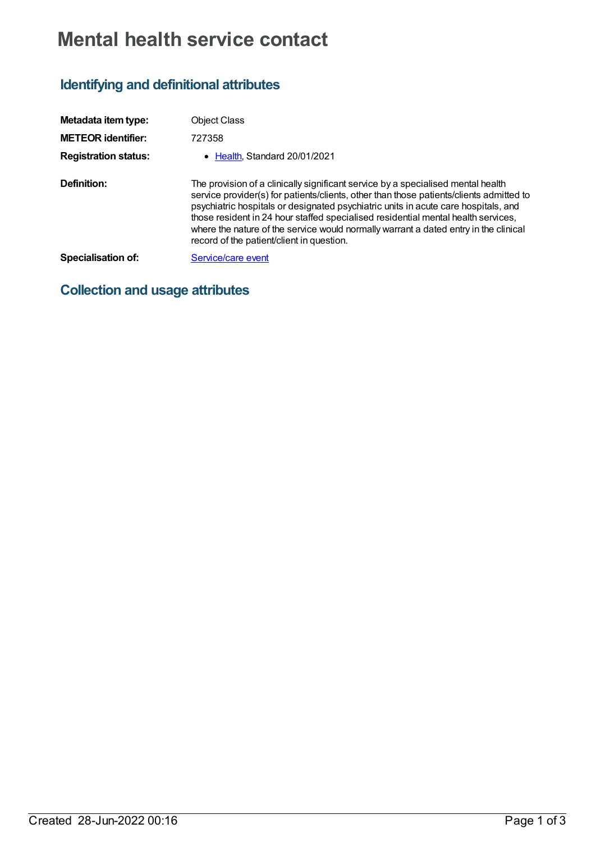# **Mental health service contact**

## **Identifying and definitional attributes**

| Metadata item type:         | <b>Object Class</b>                                                                                                                                                                                                                                                                                                                                                                                                                                                                         |
|-----------------------------|---------------------------------------------------------------------------------------------------------------------------------------------------------------------------------------------------------------------------------------------------------------------------------------------------------------------------------------------------------------------------------------------------------------------------------------------------------------------------------------------|
| <b>METEOR</b> identifier:   | 727358                                                                                                                                                                                                                                                                                                                                                                                                                                                                                      |
| <b>Registration status:</b> | • Health, Standard 20/01/2021                                                                                                                                                                                                                                                                                                                                                                                                                                                               |
| Definition:                 | The provision of a clinically significant service by a specialised mental health<br>service provider(s) for patients/clients, other than those patients/clients admitted to<br>psychiatric hospitals or designated psychiatric units in acute care hospitals, and<br>those resident in 24 hour staffed specialised residential mental health services,<br>where the nature of the service would normally warrant a dated entry in the clinical<br>record of the patient/client in question. |
| Specialisation of:          | Service/care event                                                                                                                                                                                                                                                                                                                                                                                                                                                                          |

### **Collection and usage attributes**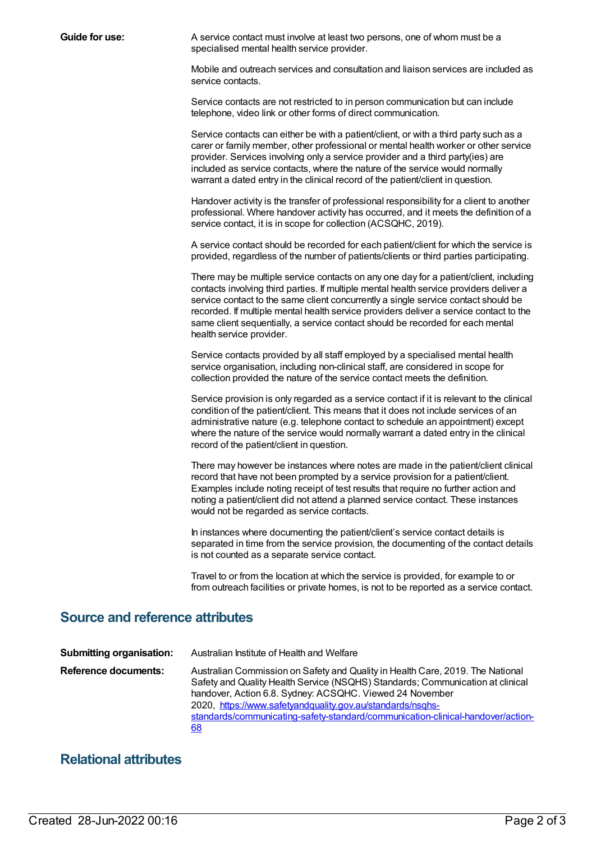**Guide for use:** A service contact must involve at least two persons, one of whom must be a specialised mental health service provider.

> Mobile and outreach services and consultation and liaison services are included as service contacts.

Service contacts are not restricted to in person communication but can include telephone, video link or other forms of direct communication.

Service contacts can either be with a patient/client, or with a third party such as a carer or family member, other professional or mental health worker or other service provider. Services involving only a service provider and a third party(ies) are included as service contacts, where the nature of the service would normally warrant a dated entry in the clinical record of the patient/client in question.

Handover activity is the transfer of professional responsibility for a client to another professional. Where handover activity has occurred, and it meets the definition of a service contact, it is in scope for collection (ACSQHC, 2019).

A service contact should be recorded for each patient/client for which the service is provided, regardless of the number of patients/clients or third parties participating.

There may be multiple service contacts on any one day for a patient/client, including contacts involving third parties. If multiple mental health service providers deliver a service contact to the same client concurrently a single service contact should be recorded. If multiple mental health service providers deliver a service contact to the same client sequentially, a service contact should be recorded for each mental health service provider.

Service contacts provided by all staff employed by a specialised mental health service organisation, including non-clinical staff, are considered in scope for collection provided the nature of the service contact meets the definition.

Service provision is only regarded as a service contact if it is relevant to the clinical condition of the patient/client. This means that it does not include services of an administrative nature (e.g. telephone contact to schedule an appointment) except where the nature of the service would normally warrant a dated entry in the clinical record of the patient/client in question.

There may however be instances where notes are made in the patient/client clinical record that have not been prompted by a service provision for a patient/client. Examples include noting receipt of test results that require no further action and noting a patient/client did not attend a planned service contact. These instances would not be regarded as service contacts.

In instances where documenting the patient/client's service contact details is separated in time from the service provision, the documenting of the contact details is not counted as a separate service contact.

Travel to or from the location at which the service is provided, for example to or from outreach facilities or private homes, is not to be reported as a service contact.

#### **Source and reference attributes**

| <b>Submitting organisation:</b> | Australian Institute of Health and Welfare                                                                                                                                                                                                                                                                                                                                          |
|---------------------------------|-------------------------------------------------------------------------------------------------------------------------------------------------------------------------------------------------------------------------------------------------------------------------------------------------------------------------------------------------------------------------------------|
| Reference documents:            | Australian Commission on Safety and Quality in Health Care, 2019. The National<br>Safety and Quality Health Service (NSQHS) Standards; Communication at clinical<br>handover, Action 6.8. Sydney: ACSQHC. Viewed 24 November<br>2020, https://www.safetyandquality.gov.au/standards/nsqhs-<br>standards/communicating-safety-standard/communication-clinical-handover/action-<br>68 |

### **Relational attributes**